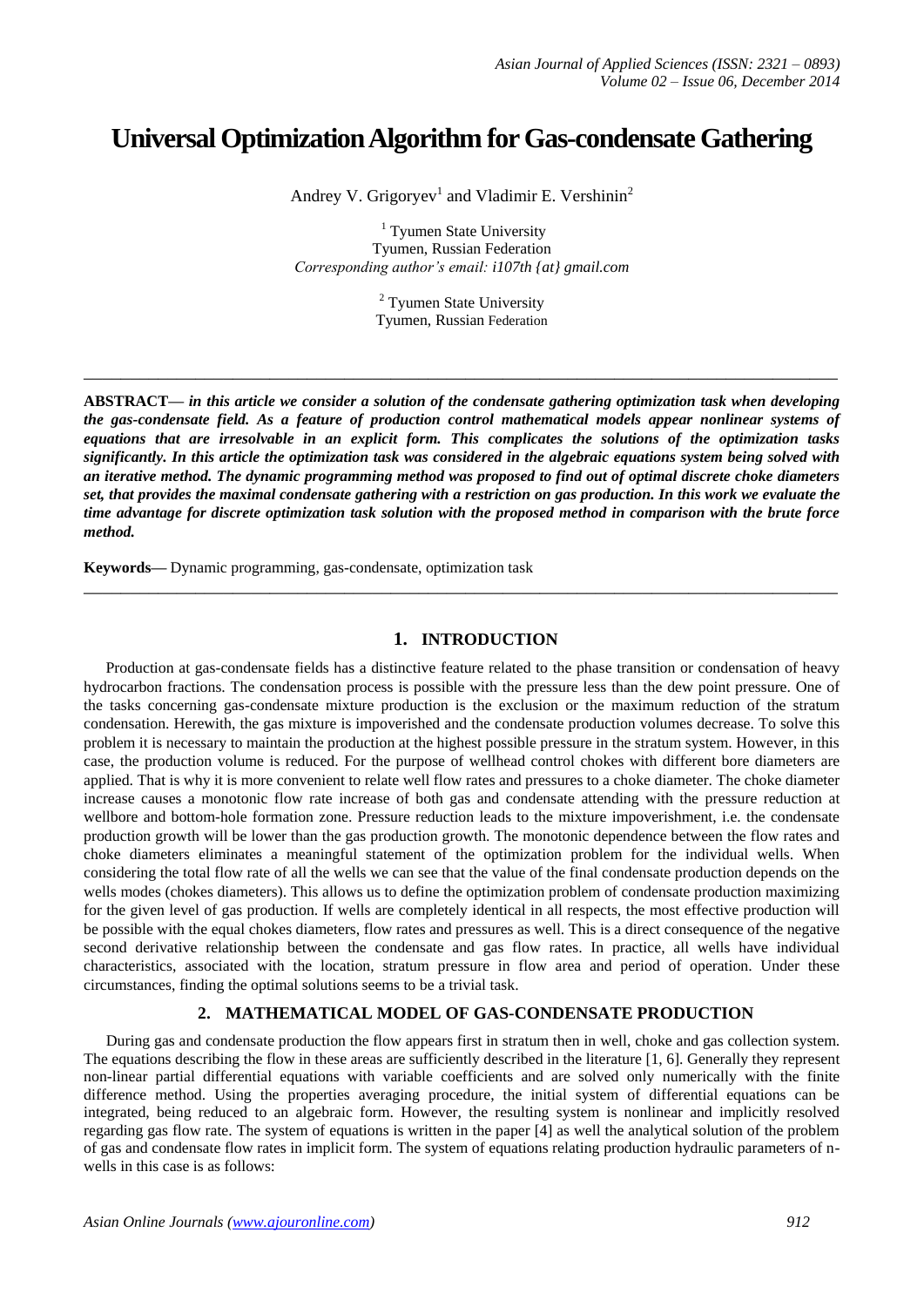# **Universal Optimization Algorithm for Gas-condensate Gathering**

Andrey V. Grigoryev<sup>1</sup> and Vladimir E. Vershinin<sup>2</sup>

<sup>1</sup> Tyumen State University Tyumen, Russian Federation *Corresponding author's email: i107th {at} gmail.com*

> <sup>2</sup> Tyumen State University Tyumen, Russian Federation

**\_\_\_\_\_\_\_\_\_\_\_\_\_\_\_\_\_\_\_\_\_\_\_\_\_\_\_\_\_\_\_\_\_\_\_\_\_\_\_\_\_\_\_\_\_\_\_\_\_\_\_\_\_\_\_\_\_\_\_\_\_\_\_\_\_\_\_\_\_\_\_\_\_\_\_\_\_\_\_\_\_**

**ABSTRACT—** *in this article we consider a solution of the condensate gathering optimization task when developing the gas-condensate field. As a feature of production control mathematical models appear nonlinear systems of equations that are irresolvable in an explicit form. This complicates the solutions of the optimization tasks significantly. In this article the optimization task was considered in the algebraic equations system being solved with an iterative method. The dynamic programming method was proposed to find out of optimal discrete choke diameters set, that provides the maximal condensate gathering with a restriction on gas production. In this work we evaluate the time advantage for discrete optimization task solution with the proposed method in comparison with the brute force method.*

**Keywords—** Dynamic programming, gas-condensate, optimization task

### **1. INTRODUCTION**

**\_\_\_\_\_\_\_\_\_\_\_\_\_\_\_\_\_\_\_\_\_\_\_\_\_\_\_\_\_\_\_\_\_\_\_\_\_\_\_\_\_\_\_\_\_\_\_\_\_\_\_\_\_\_\_\_\_\_\_\_\_\_\_\_\_\_\_\_\_\_\_\_\_\_\_\_\_\_\_\_\_**

Production at gas-condensate fields has a distinctive feature related to the phase transition or condensation of heavy hydrocarbon fractions. The condensation process is possible with the pressure less than the dew point pressure. One of the tasks concerning gas-condensate mixture production is the exclusion or the maximum reduction of the stratum condensation. Herewith, the gas mixture is impoverished and the condensate production volumes decrease. To solve this problem it is necessary to maintain the production at the highest possible pressure in the stratum system. However, in this case, the production volume is reduced. For the purpose of wellhead control chokes with different bore diameters are applied. That is why it is more convenient to relate well flow rates and pressures to a choke diameter. The choke diameter increase causes a monotonic flow rate increase of both gas and condensate attending with the pressure reduction at wellbore and bottom-hole formation zone. Pressure reduction leads to the mixture impoverishment, i.e. the condensate production growth will be lower than the gas production growth. The monotonic dependence between the flow rates and choke diameters eliminates a meaningful statement of the optimization problem for the individual wells. When considering the total flow rate of all the wells we can see that the value of the final condensate production depends on the wells modes (chokes diameters). This allows us to define the optimization problem of condensate production maximizing for the given level of gas production. If wells are completely identical in all respects, the most effective production will be possible with the equal chokes diameters, flow rates and pressures as well. This is a direct consequence of the negative second derivative relationship between the condensate and gas flow rates. In practice, all wells have individual characteristics, associated with the location, stratum pressure in flow area and period of operation. Under these circumstances, finding the optimal solutions seems to be a trivial task.

# **2. MATHEMATICAL MODEL OF GAS-CONDENSATE PRODUCTION**

During gas and condensate production the flow appears first in stratum then in well, choke and gas collection system. The equations describing the flow in these areas are sufficiently described in the literature [1, 6]. Generally they represent non-linear partial differential equations with variable coefficients and are solved only numerically with the finite difference method. Using the properties averaging procedure, the initial system of differential equations can be integrated, being reduced to an algebraic form. However, the resulting system is nonlinear and implicitly resolved regarding gas flow rate. The system of equations is written in the paper [4] as well the analytical solution of the problem of gas and condensate flow rates in implicit form. The system of equations relating production hydraulic parameters of nwells in this case is as follows: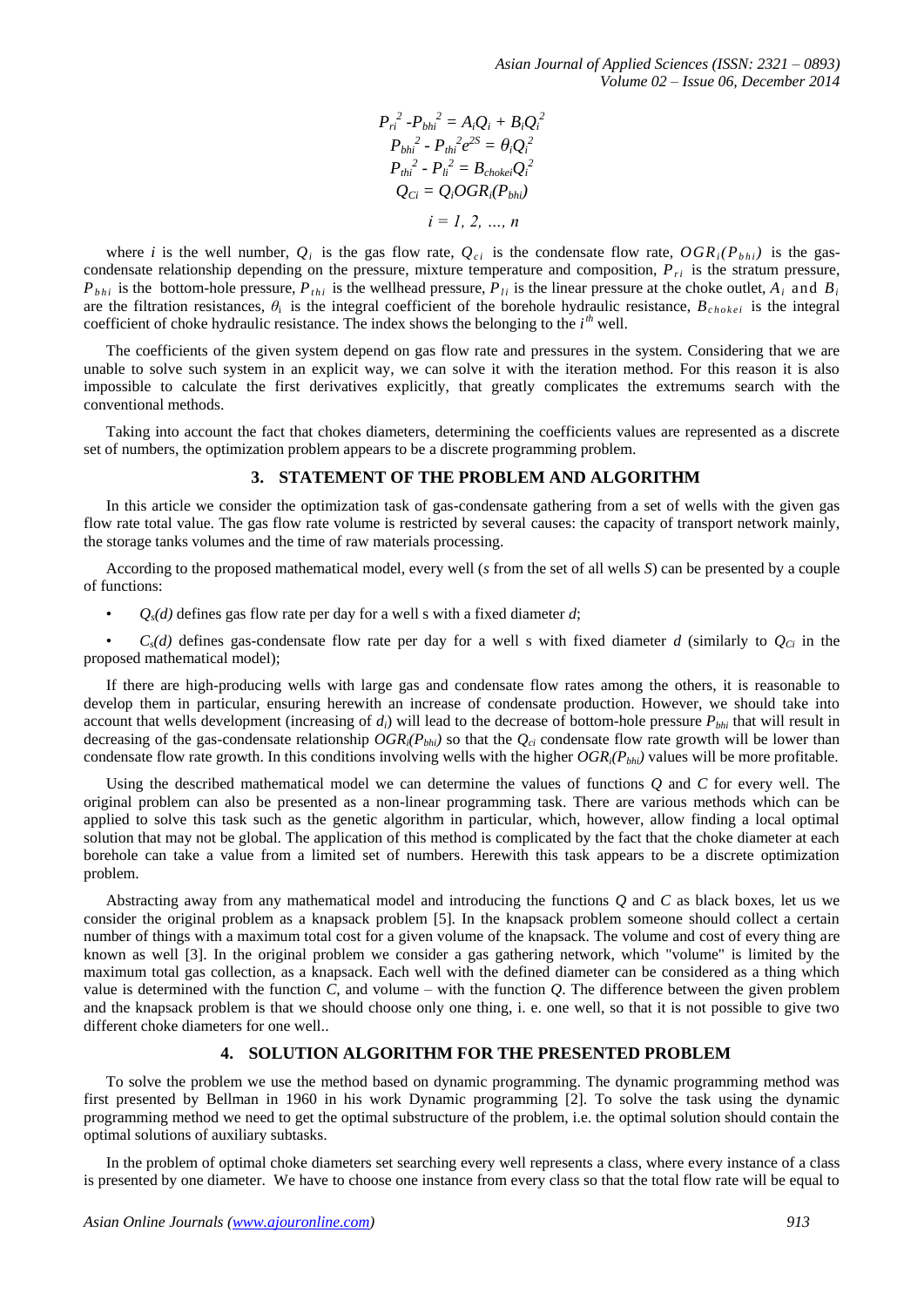$$
P_{ri}^{2} - P_{bhi}^{2} = A_i Q_i + B_i Q_i^{2}
$$
  
\n
$$
P_{bhi}^{2} - P_{thi}^{2} e^{2S} = \theta_i Q_i^{2}
$$
  
\n
$$
P_{thi}^{2} - P_{li}^{2} = B_{chokei} Q_i^{2}
$$
  
\n
$$
Q_{Ci} = Q_i OGR_i(P_{bhi})
$$
  
\n
$$
i = 1, 2, ..., n
$$

where *i* is the well number,  $Q_i$  is the gas flow rate,  $Q_{ci}$  is the condensate flow rate,  $OGR_i(P_{bhi})$  is the gascondensate relationship depending on the pressure, mixture temperature and composition,  $P_{ri}$  is the stratum pressure,  $P_{bhi}$  is the bottom-hole pressure,  $P_{thi}$  is the wellhead pressure,  $P_{li}$  is the linear pressure at the choke outlet,  $A_i$  and  $B_i$ are the filtration resistances,  $\theta_i$  is the integral coefficient of the borehole hydraulic resistance,  $B_{chokei}$  is the integral coefficient of choke hydraulic resistance. The index shows the belonging to the *i*<sup>th</sup> well.

The coefficients of the given system depend on gas flow rate and pressures in the system. Considering that we are unable to solve such system in an explicit way, we can solve it with the iteration method. For this reason it is also impossible to calculate the first derivatives explicitly, that greatly complicates the extremums search with the conventional methods.

Taking into account the fact that chokes diameters, determining the coefficients values are represented as a discrete set of numbers, the optimization problem appears to be a discrete programming problem.

#### **3. STATEMENT OF THE PROBLEM AND ALGORITHM**

In this article we consider the optimization task of gas-condensate gathering from a set of wells with the given gas flow rate total value. The gas flow rate volume is restricted by several causes: the capacity of transport network mainly, the storage tanks volumes and the time of raw materials processing.

According to the proposed mathematical model, every well (*s* from the set of all wells *S*) can be presented by a couple of functions:

 $Q_s(d)$  defines gas flow rate per day for a well s with a fixed diameter  $d$ ;

 $C_s(d)$  defines gas-condensate flow rate per day for a well s with fixed diameter *d* (similarly to  $Q_{Ci}$  in the proposed mathematical model);

If there are high-producing wells with large gas and condensate flow rates among the others, it is reasonable to develop them in particular, ensuring herewith an increase of condensate production. However, we should take into account that wells development (increasing of *di*) will lead to the decrease of bottom-hole pressure *Pbhi* that will result in decreasing of the gas-condensate relationship  $OGR_i(P_{bhi})$  so that the  $Q_{ci}$  condensate flow rate growth will be lower than condensate flow rate growth. In this conditions involving wells with the higher *OGRi(Pbhi)* values will be more profitable.

Using the described mathematical model we can determine the values of functions *Q* and *C* for every well. The original problem can also be presented as a non-linear programming task. There are various methods which can be applied to solve this task such as the genetic algorithm in particular, which, however, allow finding a local optimal solution that may not be global. The application of this method is complicated by the fact that the choke diameter at each borehole can take a value from a limited set of numbers. Herewith this task appears to be a discrete optimization problem.

Abstracting away from any mathematical model and introducing the functions *Q* and *C* as black boxes, let us we consider the original problem as a knapsack problem [5]. In the knapsack problem someone should collect a certain number of things with a maximum total cost for a given volume of the knapsack. The volume and cost of every thing are known as well [3]. In the original problem we consider a gas gathering network, which "volume" is limited by the maximum total gas collection, as a knapsack. Each well with the defined diameter can be considered as a thing which value is determined with the function *C*, and volume – with the function *Q*. The difference between the given problem and the knapsack problem is that we should choose only one thing, i. e. one well, so that it is not possible to give two different choke diameters for one well..

#### **4. SOLUTION ALGORITHM FOR THE PRESENTED PROBLEM**

To solve the problem we use the method based on dynamic programming. The dynamic programming method was first presented by Bellman in 1960 in his work Dynamic programming [2]. To solve the task using the dynamic programming method we need to get the optimal substructure of the problem, i.e. the optimal solution should contain the optimal solutions of auxiliary subtasks.

In the problem of optimal choke diameters set searching every well represents a class, where every instance of a class is presented by one diameter. We have to choose one instance from every class so that the total flow rate will be equal to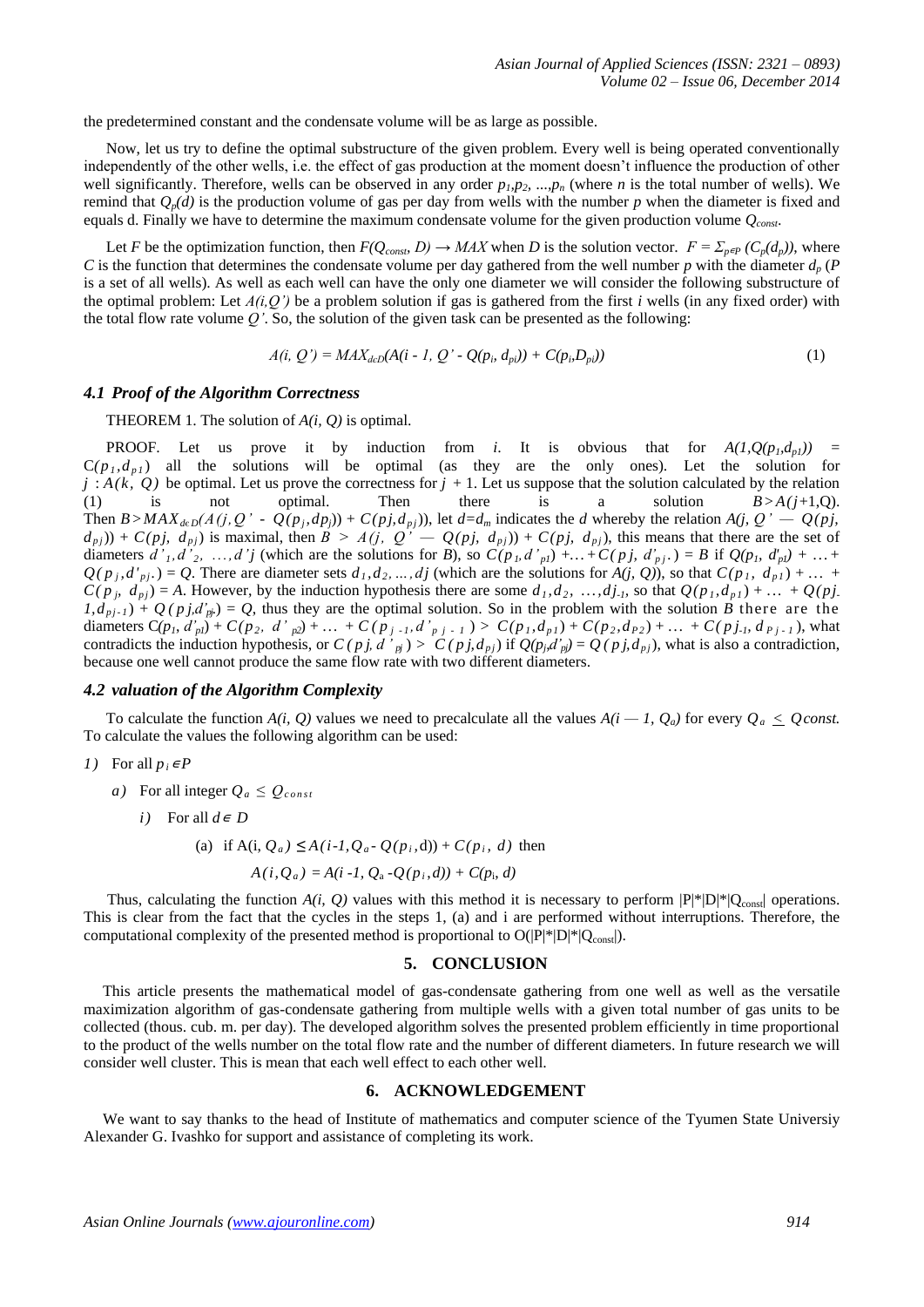the predetermined constant and the condensate volume will be as large as possible.

Now, let us try to define the optimal substructure of the given problem. Every well is being operated conventionally independently of the other wells, i.e. the effect of gas production at the moment doesn't influence the production of other well significantly. Therefore, wells can be observed in any order  $p_1, p_2, ..., p_n$  (where *n* is the total number of wells). We remind that  $Q_p(d)$  is the production volume of gas per day from wells with the number p when the diameter is fixed and equals d. Finally we have to determine the maximum condensate volume for the given production volume *Qconst*.

Let *F* be the optimization function, then  $F(Q_{cons}, D) \to MAX$  when *D* is the solution vector.  $F = \sum_{p \in P} (C_p(d_p))$ , where *C* is the function that determines the condensate volume per day gathered from the well number *p* with the diameter *d<sup>p</sup>* (*P* is a set of all wells). As well as each well can have the only one diameter we will consider the following substructure of the optimal problem: Let  $A(i, Q')$  be a problem solution if gas is gathered from the first *i* wells (in any fixed order) with the total flow rate volume *Q'*. So, the solution of the given task can be presented as the following:

$$
A(i, Q') = MAX_{deD}(A(i - 1, Q' - Q(p_i, d_{pi})) + C(p_i, D_{pi}))
$$
\n(1)

#### *4.1 Proof of the Algorithm Correctness*

THEOREM 1. The solution of *A(i, Q)* is optimal.

**PROOF.** Let us prove it by induction from *i*. It is obvious that for  $A(1, Q(p_i, d_{ni}))$  =  $C(p_1, d_{p_1})$  all the solutions will be optimal (as they are the only ones). Let the solution for  $j : A(k, Q)$  be optimal. Let us prove the correctness for  $j + 1$ . Let us suppose that the solution calculated by the relation (1) is not optimal. Then there is a solution  $B > A(j+1,Q)$ . Then  $B > MAX_{deD}(A(j, Q' - Q(p_j, dp_j)) + C(p_j, d_{pj}))$ , let  $d = d_m$  indicates the d whereby the relation  $A(j, Q' - Q(p_j, d_{pj}))$ .  $(d_{pj})$ ) +  $C(pj, d_{pj})$  is maximal, then  $B > A(j, Q' - Q(pj, d_{pj})) + C(pj, d_{pj})$ , this means that there are the set of diameters  $d'_1, d'_2, ..., d'_j$  (which are the solutions for B), so  $C(p_i, d'_{pl}) + ... + C(p_j, d'_{pj}) = B$  if  $Q(p_i, d'_{pl}) + ... +$  $Q(p_j, d'_{pj}) = Q$ . There are diameter sets  $d_1, d_2, ..., d_j$  (which are the solutions for  $A(j, Q)$ ), so that  $C(p_j, d_{p_j}) + ...$  $C(p_j, d_{pj}) = A$ . However, by the induction hypothesis there are some  $d_i, d_2, ..., d_j$ . so that  $Q(p_i, d_{p_i}) + ... + Q(p_j)$ .  $1, d_{p_j-1}$  +  $Q(p_j, d'_{p_j}) = Q$ , thus they are the optimal solution. So in the problem with the solution *B* there are the diameters  $C(p_1, d'_{pl}) + C(p_2, d'_{pl}) + ... + C(p_{j-1}, d'_{p_{j-1}}) > C(p_1, d_{p_1}) + C(p_2, d_{p_2}) + ... + C(p_{j-1}, d_{p_{j-1}})$ , what contradicts the induction hypothesis, or  $C(pj, d'_{pj}) > C(pj, d_{pj})$  if  $Q(p_j, d'_{pj}) = Q(pj, d_{pj})$ , what is also a contradiction, because one well cannot produce the same flow rate with two different diameters.

#### *4.2 valuation of the Algorithm Complexity*

To calculate the function  $A(i, 0)$  values we need to precalculate all the values  $A(i - 1, 0)$  for every  $0 \leq \theta$  const. To calculate the values the following algorithm can be used:

1) For all 
$$
p_i \in P
$$

*a*) For all integer  $Q_a \leq Q_{const}$ 

*i*) For all  $d \in D$ 

(a) if A(i, 
$$
Q_a
$$
)  $\leq$ A(i-1,  $Q_a$ -  $Q(p_i, d)$ ) + C(p<sub>i</sub>, d) then

$$
A(i, Q_a) = A(i - 1, Q_a - Q(p_i, d)) + C(p_i, d)
$$

Thus, calculating the function  $A(i, Q)$  values with this method it is necessary to perform  $|P|^{*}|D|^{*}|Q_{const}|$  operations. This is clear from the fact that the cycles in the steps 1, (a) and i are performed without interruptions. Therefore, the computational complexity of the presented method is proportional to  $O(|P^*|D^*|Q_{\text{const}}|)$ .

#### **5. CONCLUSION**

This article presents the mathematical model of gas-condensate gathering from one well as well as the versatile maximization algorithm of gas-condensate gathering from multiple wells with a given total number of gas units to be collected (thous. cub. m. per day). The developed algorithm solves the presented problem efficiently in time proportional to the product of the wells number on the total flow rate and the number of different diameters. In future research we will consider well cluster. This is mean that each well effect to each other well.

#### **6. ACKNOWLEDGEMENT**

We want to say thanks to the head of Institute of mathematics and computer science of the Tyumen State Universiy Alexander G. Ivashko for support and assistance of completing its work.